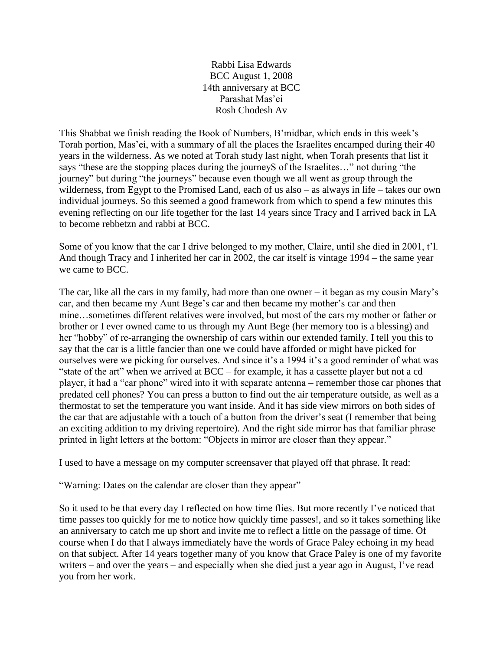Rabbi Lisa Edwards BCC August 1, 2008 14th anniversary at BCC Parashat Mas'ei Rosh Chodesh Av

This Shabbat we finish reading the Book of Numbers, B'midbar, which ends in this week's Torah portion, Mas'ei, with a summary of all the places the Israelites encamped during their 40 years in the wilderness. As we noted at Torah study last night, when Torah presents that list it says "these are the stopping places during the journeyS of the Israelites…" not during "the journey" but during "the journeys" because even though we all went as group through the wilderness, from Egypt to the Promised Land, each of us also – as always in life – takes our own individual journeys. So this seemed a good framework from which to spend a few minutes this evening reflecting on our life together for the last 14 years since Tracy and I arrived back in LA to become rebbetzn and rabbi at BCC.

Some of you know that the car I drive belonged to my mother, Claire, until she died in 2001, t'l. And though Tracy and I inherited her car in 2002, the car itself is vintage 1994 – the same year we came to BCC.

The car, like all the cars in my family, had more than one owner – it began as my cousin Mary's car, and then became my Aunt Bege's car and then became my mother's car and then mine…sometimes different relatives were involved, but most of the cars my mother or father or brother or I ever owned came to us through my Aunt Bege (her memory too is a blessing) and her "hobby" of re-arranging the ownership of cars within our extended family. I tell you this to say that the car is a little fancier than one we could have afforded or might have picked for ourselves were we picking for ourselves. And since it's a 1994 it's a good reminder of what was "state of the art" when we arrived at BCC – for example, it has a cassette player but not a cd player, it had a "car phone" wired into it with separate antenna – remember those car phones that predated cell phones? You can press a button to find out the air temperature outside, as well as a thermostat to set the temperature you want inside. And it has side view mirrors on both sides of the car that are adjustable with a touch of a button from the driver's seat (I remember that being an exciting addition to my driving repertoire). And the right side mirror has that familiar phrase printed in light letters at the bottom: "Objects in mirror are closer than they appear."

I used to have a message on my computer screensaver that played off that phrase. It read:

"Warning: Dates on the calendar are closer than they appear"

So it used to be that every day I reflected on how time flies. But more recently I've noticed that time passes too quickly for me to notice how quickly time passes!, and so it takes something like an anniversary to catch me up short and invite me to reflect a little on the passage of time. Of course when I do that I always immediately have the words of Grace Paley echoing in my head on that subject. After 14 years together many of you know that Grace Paley is one of my favorite writers – and over the years – and especially when she died just a year ago in August, I've read you from her work.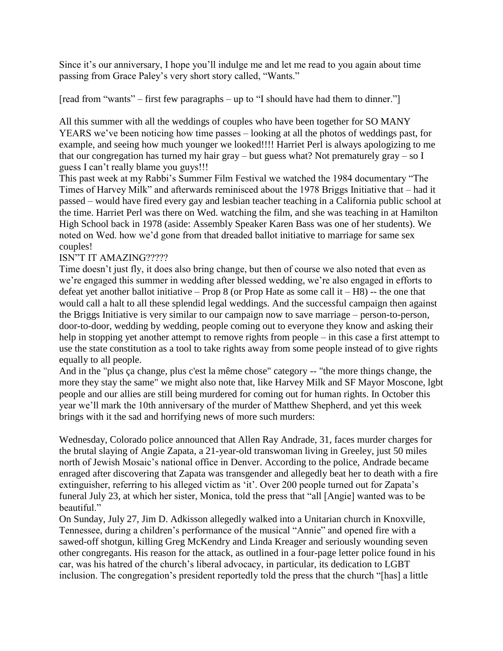Since it's our anniversary, I hope you'll indulge me and let me read to you again about time passing from Grace Paley's very short story called, "Wants."

[read from "wants" – first few paragraphs – up to "I should have had them to dinner."]

All this summer with all the weddings of couples who have been together for SO MANY YEARS we've been noticing how time passes – looking at all the photos of weddings past, for example, and seeing how much younger we looked!!!! Harriet Perl is always apologizing to me that our congregation has turned my hair gray – but guess what? Not prematurely gray – so I guess I can't really blame you guys!!!

This past week at my Rabbi's Summer Film Festival we watched the 1984 documentary "The Times of Harvey Milk" and afterwards reminisced about the 1978 Briggs Initiative that – had it passed – would have fired every gay and lesbian teacher teaching in a California public school at the time. Harriet Perl was there on Wed. watching the film, and she was teaching in at Hamilton High School back in 1978 (aside: Assembly Speaker Karen Bass was one of her students). We noted on Wed. how we'd gone from that dreaded ballot initiative to marriage for same sex couples!

## ISN"T IT AMAZING?????

Time doesn't just fly, it does also bring change, but then of course we also noted that even as we're engaged this summer in wedding after blessed wedding, we're also engaged in efforts to defeat yet another ballot initiative – Prop 8 (or Prop Hate as some call it –  $H8$ ) – the one that would call a halt to all these splendid legal weddings. And the successful campaign then against the Briggs Initiative is very similar to our campaign now to save marriage – person-to-person, door-to-door, wedding by wedding, people coming out to everyone they know and asking their help in stopping yet another attempt to remove rights from people – in this case a first attempt to use the state constitution as a tool to take rights away from some people instead of to give rights equally to all people.

And in the "plus ça change, plus c'est la même chose" category -- "the more things change, the more they stay the same" we might also note that, like Harvey Milk and SF Mayor Moscone, lgbt people and our allies are still being murdered for coming out for human rights. In October this year we'll mark the 10th anniversary of the murder of Matthew Shepherd, and yet this week brings with it the sad and horrifying news of more such murders:

Wednesday, Colorado police announced that Allen Ray Andrade, 31, faces murder charges for the brutal slaying of Angie Zapata, a 21-year-old transwoman living in Greeley, just 50 miles north of Jewish Mosaic's national office in Denver. According to the police, Andrade became enraged after discovering that Zapata was transgender and allegedly beat her to death with a fire extinguisher, referring to his alleged victim as 'it'. Over 200 people turned out for Zapata's funeral July 23, at which her sister, Monica, told the press that "all [Angie] wanted was to be beautiful."

On Sunday, July 27, Jim D. Adkisson allegedly walked into a Unitarian church in Knoxville, Tennessee, during a children's performance of the musical "Annie" and opened fire with a sawed-off shotgun, killing Greg McKendry and Linda Kreager and seriously wounding seven other congregants. His reason for the attack, as outlined in a four-page letter police found in his car, was his hatred of the church's liberal advocacy, in particular, its dedication to LGBT inclusion. The congregation's president reportedly told the press that the church "[has] a little